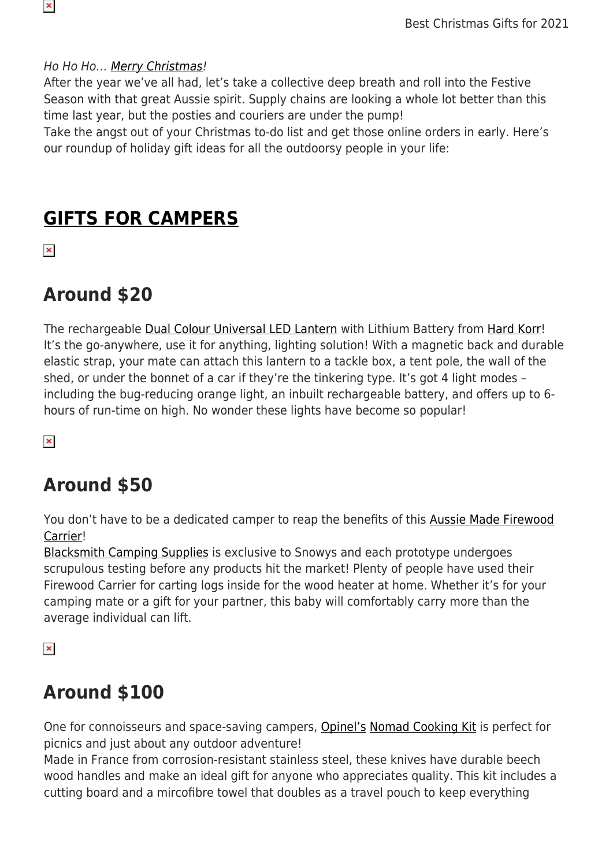#### Ho Ho Ho… [Merry Christmas!](https://www.snowys.com.au/gift-ideas-for-outdoorsy-people)

After the year we've all had, let's take a collective deep breath and roll into the Festive Season with that great Aussie spirit. Supply chains are looking a whole lot better than this time last year, but the posties and couriers are under the pump!

Take the angst out of your Christmas to-do list and get those online orders in early. Here's our roundup of holiday gift ideas for all the outdoorsy people in your life:

### **[GIFTS FOR CAMPERS](https://www.snowys.com.au/camping)**

 $\pmb{\times}$ 

 $\pmb{\times}$ 

## **Around \$20**

The rechargeable [Dual Colour Universal LED Lantern](https://www.snowys.com.au/dual-colour-universal-led-lantern-with-lithium-battery) with Lithium Battery from [Hard Korr!](https://www.snowys.com.au/hard-korr) It's the go-anywhere, use it for anything, lighting solution! With a magnetic back and durable elastic strap, your mate can attach this lantern to a tackle box, a tent pole, the wall of the shed, or under the bonnet of a car if they're the tinkering type. It's got 4 light modes – including the bug-reducing orange light, an inbuilt rechargeable battery, and offers up to 6 hours of run-time on high. No wonder these lights have become so popular!

 $\pmb{\times}$ 

### **Around \$50**

You don't have to be a dedicated camper to reap the benefits of this [Aussie Made Firewood](https://www.snowys.com.au/australian-made-firewood-carrier) [Carrier!](https://www.snowys.com.au/australian-made-firewood-carrier)

[Blacksmith Camping Supplies](https://www.snowys.com.au/blacksmith-camping-supplies) is exclusive to Snowys and each prototype undergoes scrupulous testing before any products hit the market! Plenty of people have used their Firewood Carrier for carting logs inside for the wood heater at home. Whether it's for your camping mate or a gift for your partner, this baby will comfortably carry more than the average individual can lift.

 $\pmb{\times}$ 

### **Around \$100**

One for connoisseurs and space-saving campers, [Opinel's](https://www.snowys.com.au/opinel) [Nomad Cooking Kit](https://www.snowys.com.au/nomad-cooking-kit) is perfect for picnics and just about any outdoor adventure!

Made in France from corrosion-resistant stainless steel, these knives have durable beech wood handles and make an ideal gift for anyone who appreciates quality. This kit includes a cutting board and a mircofibre towel that doubles as a travel pouch to keep everything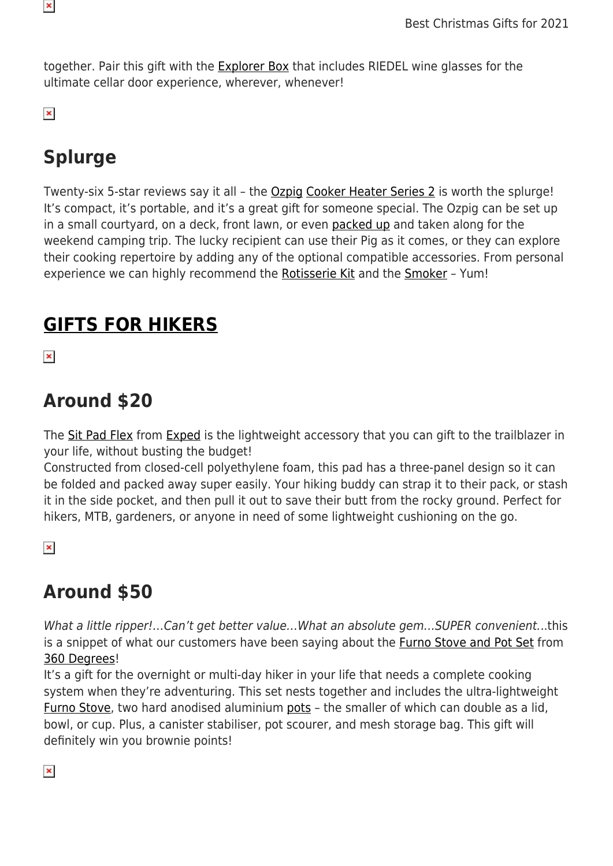

together. Pair this gift with the **Explorer Box** that includes RIEDEL wine glasses for the ultimate cellar door experience, wherever, whenever!

 $\pmb{\times}$ 

# **Splurge**

Twenty-six 5-star reviews say it all – the [Ozpig](https://www.snowys.com.au/ozpig) [Cooker Heater Series 2](https://www.snowys.com.au/cooker-heater) is worth the splurge! It's compact, it's portable, and it's a great gift for someone special. The Ozpig can be set up in a small courtyard, on a deck, front lawn, or even [packed up](https://www.snowys.com.au/australian-made-ozpig-cooker-heater-bag) and taken along for the weekend camping trip. The lucky recipient can use their Pig as it comes, or they can explore their cooking repertoire by adding any of the optional compatible accessories. From personal experience we can highly recommend the [Rotisserie Kit](https://www.snowys.com.au/rotisserie-kit) and the [Smoker](https://www.snowys.com.au/oven-smoker) - Yum!

## **[GIFTS FOR HIKERS](https://www.snowys.com.au/hiking)**

 $\pmb{\times}$ 

### **Around \$20**

The [Sit Pad Flex](https://www.snowys.com.au/sit-pad-flex) from [Exped](https://www.snowys.com.au/exped) is the lightweight accessory that you can gift to the trailblazer in your life, without busting the budget!

Constructed from closed-cell polyethylene foam, this pad has a three-panel design so it can be folded and packed away super easily. Your hiking buddy can strap it to their pack, or stash it in the side pocket, and then pull it out to save their butt from the rocky ground. Perfect for hikers, MTB, gardeners, or anyone in need of some lightweight cushioning on the go.

 $\pmb{\times}$ 

# **Around \$50**

What a little ripper!...Can't get better value...What an absolute gem...SUPER convenient...this is a snippet of what our customers have been saying about the [Furno Stove and Pot Set](https://www.snowys.com.au/furno-stove-and-pot-set) from [360 Degrees!](https://www.snowys.com.au/360-degrees)

It's a gift for the overnight or multi-day hiker in your life that needs a complete cooking system when they're adventuring. This set nests together and includes the ultra-lightweight [Furno Stove,](https://www.snowys.com.au/furno-stove) two hard anodised aluminium [pots](https://www.snowys.com.au/furno-stove) - the smaller of which can double as a lid, bowl, or cup. Plus, a canister stabiliser, pot scourer, and mesh storage bag. This gift will definitely win you brownie points!

 $\pmb{\times}$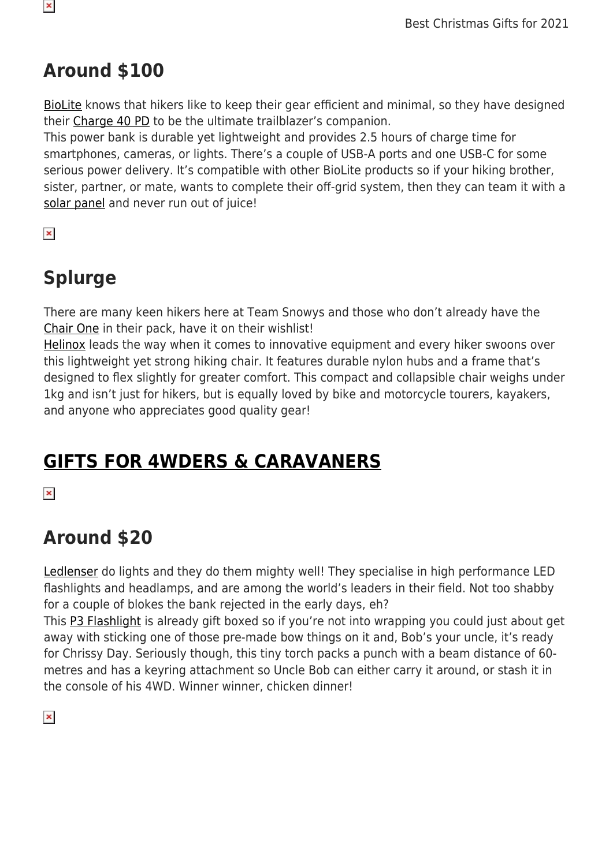## **Around \$100**

[BioLite](https://www.snowys.com.au/biolite) knows that hikers like to keep their gear efficient and minimal, so they have designed their [Charge 40 PD](https://www.snowys.com.au/charge-40-pd) to be the ultimate trailblazer's companion.

This power bank is durable yet lightweight and provides 2.5 hours of charge time for smartphones, cameras, or lights. There's a couple of USB-A ports and one USB-C for some serious power delivery. It's compatible with other BioLite products so if your hiking brother, sister, partner, or mate, wants to complete their off-grid system, then they can team it with a [solar panel](https://www.snowys.com.au/solarpanel-5-plus) and never run out of juice!

 $\pmb{\times}$ 

 $\pmb{\times}$ 

## **Splurge**

There are many keen hikers here at Team Snowys and those who don't already have the [Chair One](https://www.snowys.com.au/chair-one) in their pack, have it on their wishlist!

[Helinox](https://www.snowys.com.au/helinox) leads the way when it comes to innovative equipment and every hiker swoons over this lightweight yet strong hiking chair. It features durable nylon hubs and a frame that's designed to flex slightly for greater comfort. This compact and collapsible chair weighs under 1kg and isn't just for hikers, but is equally loved by bike and motorcycle tourers, kayakers, and anyone who appreciates good quality gear!

# **[GIFTS FOR 4WDERS & CARAVANERS](https://www.snowys.com.au/4wd-caravan)**

 $\pmb{\times}$ 

# **Around \$20**

[Ledlenser](https://www.snowys.com.au/ledlenser) do lights and they do them mighty well! They specialise in high performance LED flashlights and headlamps, and are among the world's leaders in their field. Not too shabby for a couple of blokes the bank rejected in the early days, eh?

This [P3 Flashlight](https://www.snowys.com.au/p3-flashlight) is already gift boxed so if you're not into wrapping you could just about get away with sticking one of those pre-made bow things on it and, Bob's your uncle, it's ready for Chrissy Day. Seriously though, this tiny torch packs a punch with a beam distance of 60 metres and has a keyring attachment so Uncle Bob can either carry it around, or stash it in the console of his 4WD. Winner winner, chicken dinner!

 $\pmb{\times}$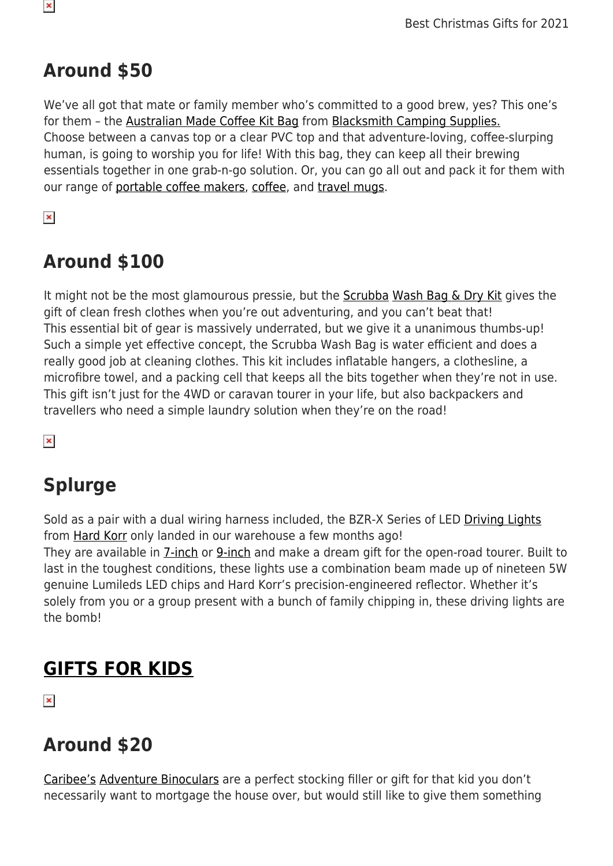## **Around \$50**

We've all got that mate or family member who's committed to a good brew, yes? This one's for them – the [Australian Made Coffee Kit Bag](https://www.snowys.com.au/australian-made-coffee-kit-bags) from [Blacksmith Camping Supplies.](https://www.snowys.com.au/blacksmith-camping-supplies) Choose between a canvas top or a clear PVC top and that adventure-loving, coffee-slurping human, is going to worship you for life! With this bag, they can keep all their brewing essentials together in one grab-n-go solution. Or, you can go all out and pack it for them with our range of [portable coffee makers,](https://www.snowys.com.au/portable-coffee-makers) [coffee](https://www.snowys.com.au/the-laughing-pug), and [travel mugs](https://www.snowys.com.au/search?w=mug).

 $\pmb{\times}$ 

## **Around \$100**

It might not be the most glamourous pressie, but the [Scrubba](https://www.snowys.com.au/scrubba-2) [Wash Bag & Dry Kit](https://www.snowys.com.au/wash-bag-dry-kit) gives the gift of clean fresh clothes when you're out adventuring, and you can't beat that! This essential bit of gear is massively underrated, but we give it a unanimous thumbs-up! Such a simple yet effective concept, the Scrubba Wash Bag is water efficient and does a really good job at cleaning clothes. This kit includes inflatable hangers, a clothesline, a microfibre towel, and a packing cell that keeps all the bits together when they're not in use. This gift isn't just for the 4WD or caravan tourer in your life, but also backpackers and travellers who need a simple laundry solution when they're on the road!

 $\pmb{\times}$ 

# **Splurge**

Sold as a pair with a dual wiring harness included, the BZR-X Series of LED [Driving Lights](https://www.snowys.com.au/driving-lights#?brands=225) from [Hard Korr](https://www.snowys.com.au/hard-korr) only landed in our warehouse a few months ago! They are available in *[7-inch](https://www.snowys.com.au/bzr-x-series-7-led-driving-lights)* or [9-inch](https://www.snowys.com.au/bzr-x-series-9-led-driving-lights) and make a dream gift for the open-road tourer. Built to last in the toughest conditions, these lights use a combination beam made up of nineteen 5W genuine Lumileds LED chips and Hard Korr's precision-engineered reflector. Whether it's solely from you or a group present with a bunch of family chipping in, these driving lights are the bomb!

# **[GIFTS FOR KIDS](https://www.snowys.com.au/kids-camping-gear)**

 $\pmb{\times}$ 

## **Around \$20**

[Caribee's](https://www.snowys.com.au/caribee) [Adventure Binoculars](https://www.snowys.com.au/adventure-binoculars) are a perfect stocking filler or gift for that kid you don't necessarily want to mortgage the house over, but would still like to give them something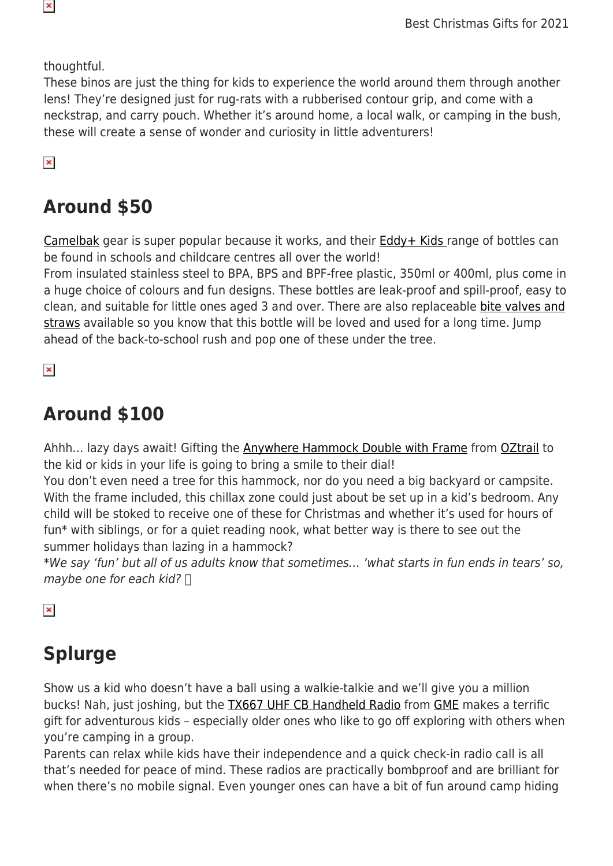thoughtful.

These binos are just the thing for kids to experience the world around them through another lens! They're designed just for rug-rats with a rubberised contour grip, and come with a neckstrap, and carry pouch. Whether it's around home, a local walk, or camping in the bush, these will create a sense of wonder and curiosity in little adventurers!

 $\pmb{\times}$ 

## **Around \$50**

[Camelbak](https://www.snowys.com.au/camelbak) gear is super popular because it works, and their **Eddy+ Kids** range of bottles can be found in schools and childcare centres all over the world!

From insulated stainless steel to BPA, BPS and BPF-free plastic, 350ml or 400ml, plus come in a huge choice of colours and fun designs. These bottles are leak-proof and spill-proof, easy to clean, and suitable for little ones aged 3 and over. There are also replaceable [bite valves and](https://www.snowys.com.au/eddy-plus-kids-bite-valves-straws-clear) [straws](https://www.snowys.com.au/eddy-plus-kids-bite-valves-straws-clear) available so you know that this bottle will be loved and used for a long time. Jump ahead of the back-to-school rush and pop one of these under the tree.

 $\pmb{\times}$ 

## **Around \$100**

Ahhh... lazy days await! Gifting the **Anywhere Hammock Double with Frame** from [OZtrail](https://www.snowys.com.au/oztrail) to the kid or kids in your life is going to bring a smile to their dial!

You don't even need a tree for this hammock, nor do you need a big backyard or campsite. With the frame included, this chillax zone could just about be set up in a kid's bedroom. Any child will be stoked to receive one of these for Christmas and whether it's used for hours of fun\* with siblings, or for a quiet reading nook, what better way is there to see out the summer holidays than lazing in a hammock?

\*We say 'fun' but all of us adults know that sometimes… 'what starts in fun ends in tears' so, maybe one for each kid?  $\Box$ 

 $\pmb{\times}$ 

# **Splurge**

Show us a kid who doesn't have a ball using a walkie-talkie and we'll give you a million bucks! Nah, just joshing, but the [TX667 UHF CB Handheld Radio](https://www.snowys.com.au/1-watt-uhf-cb-handheld-radio-tx667) from [GME](https://www.snowys.com.au/gme) makes a terrific gift for adventurous kids – especially older ones who like to go off exploring with others when you're camping in a group.

Parents can relax while kids have their independence and a quick check-in radio call is all that's needed for peace of mind. These radios are practically bombproof and are brilliant for when there's no mobile signal. Even younger ones can have a bit of fun around camp hiding

 $\pmb{\times}$